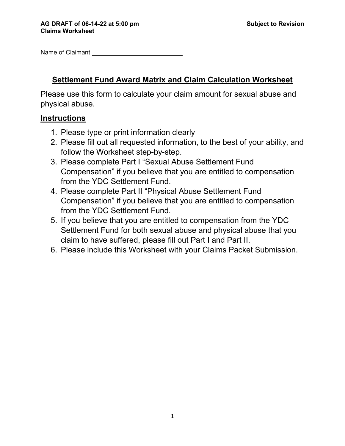Name of Claimant

# **Settlement Fund Award Matrix and Claim Calculation Worksheet**

Please use this form to calculate your claim amount for sexual abuse and physical abuse.

# **Instructions**

- 1. Please type or print information clearly
- 2. Please fill out all requested information, to the best of your ability, and follow the Worksheet step-by-step.
- 3. Please complete Part I "Sexual Abuse Settlement Fund Compensation" if you believe that you are entitled to compensation from the YDC Settlement Fund.
- 4. Please complete Part II "Physical Abuse Settlement Fund Compensation" if you believe that you are entitled to compensation from the YDC Settlement Fund.
- 5. If you believe that you are entitled to compensation from the YDC Settlement Fund for both sexual abuse and physical abuse that you claim to have suffered, please fill out Part I and Part II.
- 6. Please include this Worksheet with your Claims Packet Submission.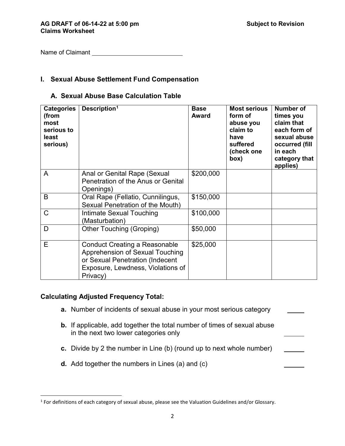Name of Claimant Name of Claimant

### **I. Sexual Abuse Settlement Fund Compensation**

### **A. Sexual Abuse Base Calculation Table**

| <b>Categories</b><br>(from<br>most<br>serious to<br>least<br>serious) | Description <sup>1</sup>                                                                                                                                    | <b>Base</b><br><b>Award</b> | <b>Most serious</b><br>form of<br>abuse you<br>claim to<br>have<br>suffered<br>(check one<br>(box | <b>Number of</b><br>times you<br>claim that<br>each form of<br>sexual abuse<br>occurred (fill<br>in each<br>category that<br>applies) |
|-----------------------------------------------------------------------|-------------------------------------------------------------------------------------------------------------------------------------------------------------|-----------------------------|---------------------------------------------------------------------------------------------------|---------------------------------------------------------------------------------------------------------------------------------------|
| A                                                                     | Anal or Genital Rape (Sexual<br>Penetration of the Anus or Genital<br>Openings)                                                                             | \$200,000                   |                                                                                                   |                                                                                                                                       |
| B                                                                     | Oral Rape (Fellatio, Cunnilingus,<br>Sexual Penetration of the Mouth)                                                                                       | \$150,000                   |                                                                                                   |                                                                                                                                       |
| C                                                                     | Intimate Sexual Touching<br>(Masturbation)                                                                                                                  | \$100,000                   |                                                                                                   |                                                                                                                                       |
| D                                                                     | Other Touching (Groping)                                                                                                                                    | \$50,000                    |                                                                                                   |                                                                                                                                       |
| E                                                                     | <b>Conduct Creating a Reasonable</b><br>Apprehension of Sexual Touching<br>or Sexual Penetration (Indecent<br>Exposure, Lewdness, Violations of<br>Privacy) | \$25,000                    |                                                                                                   |                                                                                                                                       |

### **Calculating Adjusted Frequency Total:**

l

- **a.** Number of incidents of sexual abuse in your most serious category
- **b.** If applicable, add together the total number of times of sexual abuse in the next two lower categories only
- **c.** Divide by 2 the number in Line (b) (round up to next whole number)
- **d.** Add together the numbers in Lines (a) and (c)

<span id="page-1-0"></span><sup>1</sup> For definitions of each category of sexual abuse, please see the Valuation Guidelines and/or Glossary.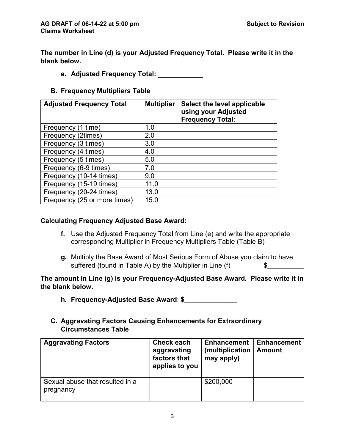**The number in Line (d) is your Adjusted Frequency Total. Please write it in the blank below.**

**e. Adjusted Frequency Total:** 

## **B. Frequency Multipliers Table**

| <b>Adjusted Frequency Total</b> | <b>Multiplier</b> | Select the level applicable<br>using your Adjusted<br><b>Frequency Total:</b> |
|---------------------------------|-------------------|-------------------------------------------------------------------------------|
| Frequency (1 time)              | 1.0               |                                                                               |
| Frequency (2times)              | 2.0               |                                                                               |
| Frequency (3 times)             | 3.0               |                                                                               |
| Frequency (4 times)             | 4.0               |                                                                               |
| Frequency (5 times)             | 5.0               |                                                                               |
| Frequency (6-9 times)           | 7.0               |                                                                               |
| Frequency (10-14 times)         | 9.0               |                                                                               |
| Frequency (15-19 times)         | 11.0              |                                                                               |
| Frequency (20-24 times)         | 13.0              |                                                                               |
| Frequency (25 or more times)    | 15.0              |                                                                               |

### **Calculating Frequency Adjusted Base Award:**

- **f.** Use the Adjusted Frequency Total from Line (e) and write the appropriate corresponding Multiplier in Frequency Multipliers Table (Table B)
- **g.** Multiply the Base Award of Most Serious Form of Abuse you claim to have suffered (found in Table A) by the Multiplier in Line (f)  $\$\$

**The amount in Line (g) is your Frequency-Adjusted Base Award. Please write it in the blank below.** 

**h. Frequency-Adjusted Base Award**: **\$\_\_\_\_\_\_\_\_\_\_\_\_\_\_**

## **C. Aggravating Factors Causing Enhancements for Extraordinary Circumstances Table**

| <b>Aggravating Factors</b>                   | Check each<br>aggravating<br>factors that<br>applies to you | <b>Enhancement</b><br>(multiplication<br>may apply) | <b>Enhancement</b><br><b>Amount</b> |
|----------------------------------------------|-------------------------------------------------------------|-----------------------------------------------------|-------------------------------------|
| Sexual abuse that resulted in a<br>pregnancy |                                                             | \$200,000                                           |                                     |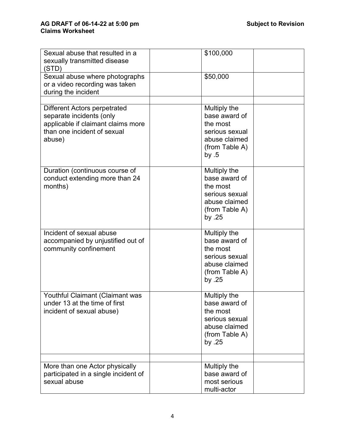| Sexual abuse that resulted in a<br>sexually transmitted disease<br>(STD)                                                                       | \$100,000                                                                                                  |  |
|------------------------------------------------------------------------------------------------------------------------------------------------|------------------------------------------------------------------------------------------------------------|--|
| Sexual abuse where photographs<br>or a video recording was taken<br>during the incident                                                        | \$50,000                                                                                                   |  |
| <b>Different Actors perpetrated</b><br>separate incidents (only<br>applicable if claimant claims more<br>than one incident of sexual<br>abuse) | Multiply the<br>base award of<br>the most<br>serious sexual<br>abuse claimed<br>(from Table A)<br>by $.5$  |  |
| Duration (continuous course of<br>conduct extending more than 24<br>months)                                                                    | Multiply the<br>base award of<br>the most<br>serious sexual<br>abuse claimed<br>(from Table A)<br>by $.25$ |  |
| Incident of sexual abuse<br>accompanied by unjustified out of<br>community confinement                                                         | Multiply the<br>base award of<br>the most<br>serious sexual<br>abuse claimed<br>(from Table A)<br>by $.25$ |  |
| Youthful Claimant (Claimant was<br>under 13 at the time of first<br>incident of sexual abuse)                                                  | Multiply the<br>base award of<br>the most<br>serious sexual<br>abuse claimed<br>(from Table A)<br>by $.25$ |  |
| More than one Actor physically<br>participated in a single incident of<br>sexual abuse                                                         | Multiply the<br>base award of<br>most serious<br>multi-actor                                               |  |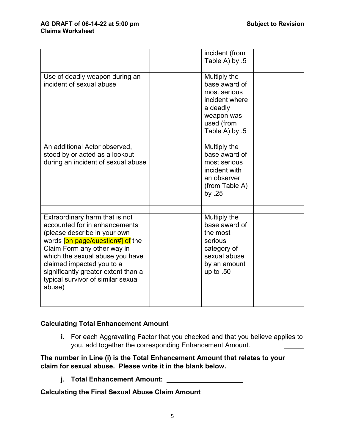#### AG DRAFT of 06-14-22 at 5:00 pm **Claims Worksheet**

|                                                                                                                                                                                                                                                                                                                                  | incident (from<br>Table A) by .5                                                                                          |  |
|----------------------------------------------------------------------------------------------------------------------------------------------------------------------------------------------------------------------------------------------------------------------------------------------------------------------------------|---------------------------------------------------------------------------------------------------------------------------|--|
| Use of deadly weapon during an<br>incident of sexual abuse                                                                                                                                                                                                                                                                       | Multiply the<br>base award of<br>most serious<br>incident where<br>a deadly<br>weapon was<br>used (from<br>5. Table A) by |  |
| An additional Actor observed,<br>stood by or acted as a lookout<br>during an incident of sexual abuse                                                                                                                                                                                                                            | Multiply the<br>base award of<br>most serious<br>incident with<br>an observer<br>(from Table A)<br>by $.25$               |  |
| Extraordinary harm that is not<br>accounted for in enhancements<br>(please describe in your own<br>words <i>[on page/question#] of the</i><br>Claim Form any other way in<br>which the sexual abuse you have<br>claimed impacted you to a<br>significantly greater extent than a<br>typical survivor of similar sexual<br>abuse) | Multiply the<br>base award of<br>the most<br>serious<br>category of<br>sexual abuse<br>by an amount<br>up to $.50$        |  |

## **Calculating Total Enhancement Amount**

**i.** For each Aggravating Factor that you checked and that you believe applies to you, add together the corresponding Enhancement Amount.

## **The number in Line (i) is the Total Enhancement Amount that relates to your claim for sexual abuse. Please write it in the blank below.**

**j. Total Enhancement Amount:** 

**Calculating the Final Sexual Abuse Claim Amount**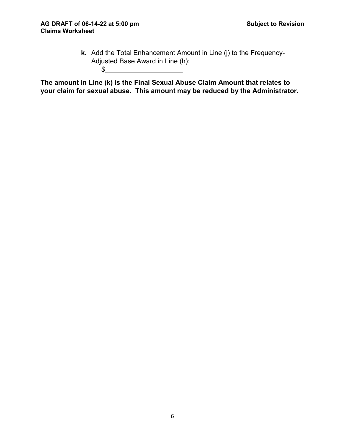**k.** Add the Total Enhancement Amount in Line (j) to the Frequency-Adjusted Base Award in Line (h):  $\frac{1}{2}$ 

**The amount in Line (k) is the Final Sexual Abuse Claim Amount that relates to your claim for sexual abuse. This amount may be reduced by the Administrator.**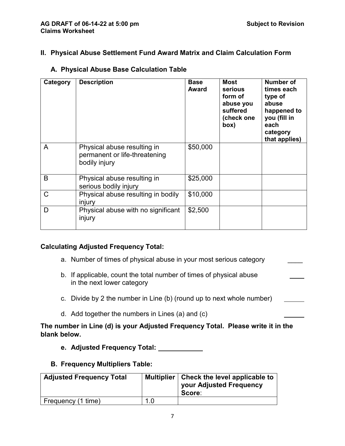## **II. Physical Abuse Settlement Fund Award Matrix and Claim Calculation Form**

| Category | <b>Description</b>                                                            | <b>Base</b><br><b>Award</b> | <b>Most</b><br><b>serious</b><br>form of<br>abuse you<br>suffered<br>(check one<br>box) | Number of<br>times each<br>type of<br>abuse<br>happened to<br>you (fill in<br>each<br>category<br>that applies) |
|----------|-------------------------------------------------------------------------------|-----------------------------|-----------------------------------------------------------------------------------------|-----------------------------------------------------------------------------------------------------------------|
| A        | Physical abuse resulting in<br>permanent or life-threatening<br>bodily injury | \$50,000                    |                                                                                         |                                                                                                                 |
| B        | Physical abuse resulting in<br>serious bodily injury                          | \$25,000                    |                                                                                         |                                                                                                                 |
| C        | Physical abuse resulting in bodily<br>injury                                  | \$10,000                    |                                                                                         |                                                                                                                 |
| D        | Physical abuse with no significant<br>injury                                  | \$2,500                     |                                                                                         |                                                                                                                 |

## **A. Physical Abuse Base Calculation Table**

## **Calculating Adjusted Frequency Total:**

- a. Number of times of physical abuse in your most serious category
- b. If applicable, count the total number of times of physical abuse in the next lower category
- c. Divide by 2 the number in Line (b) (round up to next whole number)
- d. Add together the numbers in Lines (a) and (c)

**The number in Line (d) is your Adjusted Frequency Total. Please write it in the blank below.**

**e. Adjusted Frequency Total:** 

## **B. Frequency Multipliers Table:**

| <b>Adjusted Frequency Total</b> |     | Multiplier   Check the level applicable to<br>your Adjusted Frequency<br>Score: |
|---------------------------------|-----|---------------------------------------------------------------------------------|
| Frequency (1 time)              | 1.0 |                                                                                 |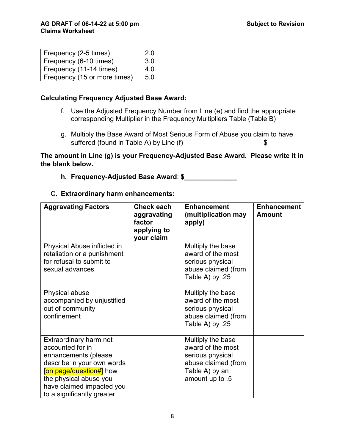| Frequency (2-5 times)        |     |  |
|------------------------------|-----|--|
| Frequency (6-10 times)       | 3.0 |  |
| Frequency (11-14 times)      | 4.0 |  |
| Frequency (15 or more times) | 5.0 |  |

### **Calculating Frequency Adjusted Base Award:**

- f. Use the Adjusted Frequency Number from Line (e) and find the appropriate corresponding Multiplier in the Frequency Multipliers Table (Table B)
- g. Multiply the Base Award of Most Serious Form of Abuse you claim to have suffered (found in Table A) by Line  $(f)$  \$

**The amount in Line (g) is your Frequency-Adjusted Base Award. Please write it in the blank below.** 

**h. Frequency-Adjusted Base Award**: **\$\_\_\_\_\_\_\_\_\_\_\_\_\_\_**

#### C. **Extraordinary harm enhancements:**

| <b>Aggravating Factors</b>                                                                                                                                                                                       | <b>Check each</b><br>aggravating<br>factor<br>applying to<br>your claim | <b>Enhancement</b><br>(multiplication may<br>apply)                                                                    | <b>Enhancement</b><br><b>Amount</b> |
|------------------------------------------------------------------------------------------------------------------------------------------------------------------------------------------------------------------|-------------------------------------------------------------------------|------------------------------------------------------------------------------------------------------------------------|-------------------------------------|
| Physical Abuse inflicted in<br>retaliation or a punishment<br>for refusal to submit to<br>sexual advances                                                                                                        |                                                                         | Multiply the base<br>award of the most<br>serious physical<br>abuse claimed (from<br>25. Table A) by                   |                                     |
| Physical abuse<br>accompanied by unjustified<br>out of community<br>confinement                                                                                                                                  |                                                                         | Multiply the base<br>award of the most<br>serious physical<br>abuse claimed (from<br>Table A) by .25                   |                                     |
| Extraordinary harm not<br>accounted for in<br>enhancements (please<br>describe in your own words<br>[on page/question#] how<br>the physical abuse you<br>have claimed impacted you<br>to a significantly greater |                                                                         | Multiply the base<br>award of the most<br>serious physical<br>abuse claimed (from<br>Table A) by an<br>amount up to .5 |                                     |